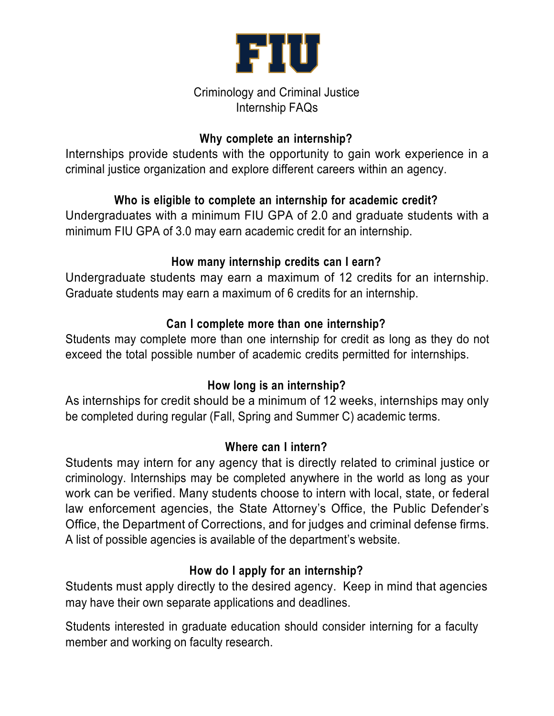

### Criminology and Criminal Justice Internship FAQs

## **Why complete an internship?**

Internships provide students with the opportunity to gain work experience in a criminal justice organization and explore different careers within an agency.

# **Who is eligible to complete an internship for academic credit?**

Undergraduates with a minimum FIU GPA of 2.0 and graduate students with a minimum FIU GPA of 3.0 may earn academic credit for an internship.

# **How many internship credits can I earn?**

Undergraduate students may earn a maximum of 12 credits for an internship. Graduate students may earn a maximum of 6 credits for an internship.

# **Can I complete more than one internship?**

Students may complete more than one internship for credit as long as they do not exceed the total possible number of academic credits permitted for internships.

## **How long is an internship?**

As internships for credit should be a minimum of 12 weeks, internships may only be completed during regular (Fall, Spring and Summer C) academic terms.

## **Where can I intern?**

Students may intern for any agency that is directly related to criminal justice or criminology. Internships may be completed anywhere in the world as long as your work can be verified. Many students choose to intern with local, state, or federal law enforcement agencies, the State Attorney's Office, the Public Defender's Office, the Department of Corrections, and for judges and criminal defense firms. A list of possible agencies is available of the department's website.

# **How do I apply for an internship?**

Students must apply directly to the desired agency. Keep in mind that agencies may have their own separate applications and deadlines.

Students interested in graduate education should consider interning for a faculty member and working on faculty research.